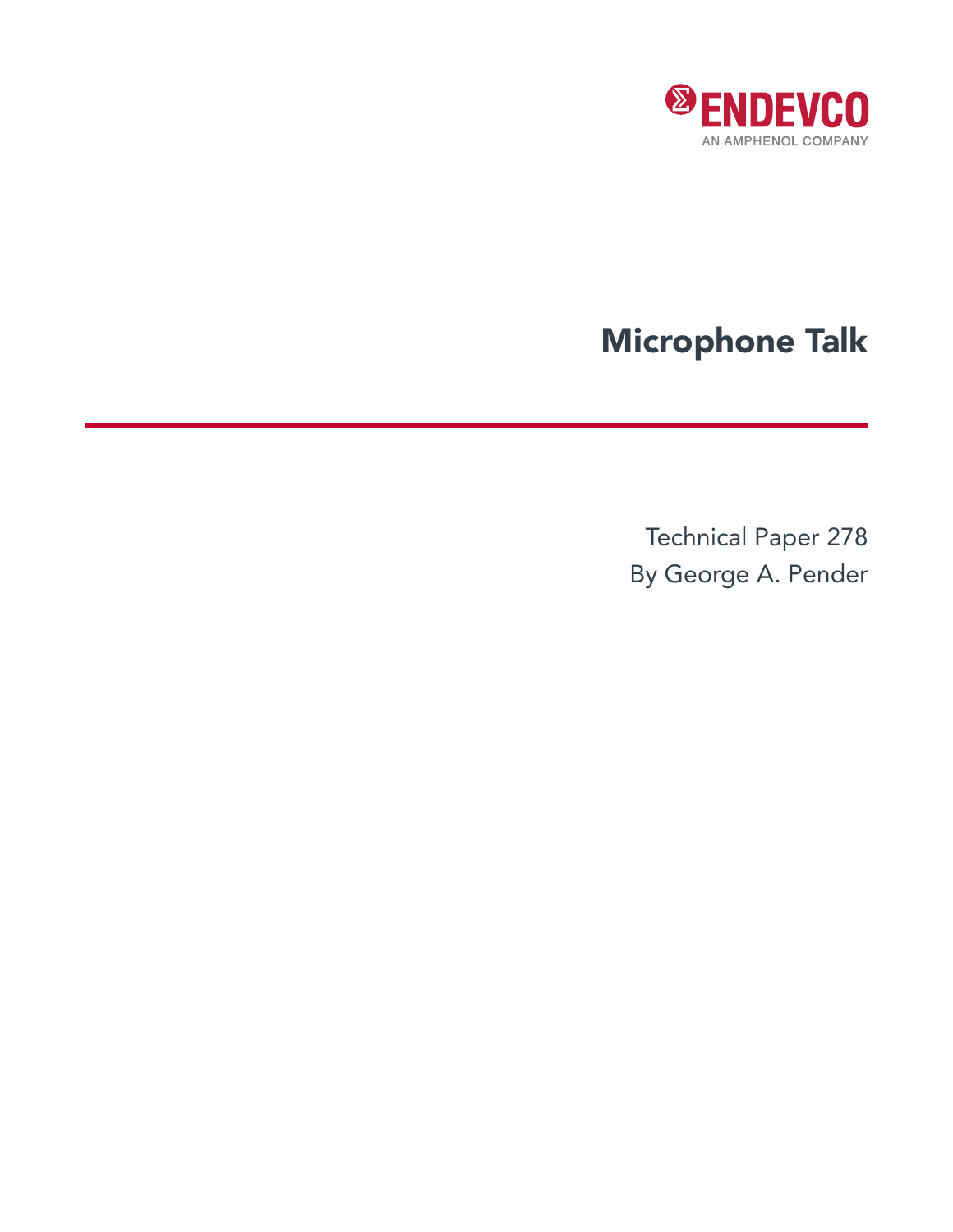

# Microphone Talk

Technical Paper 278 By George A. Pender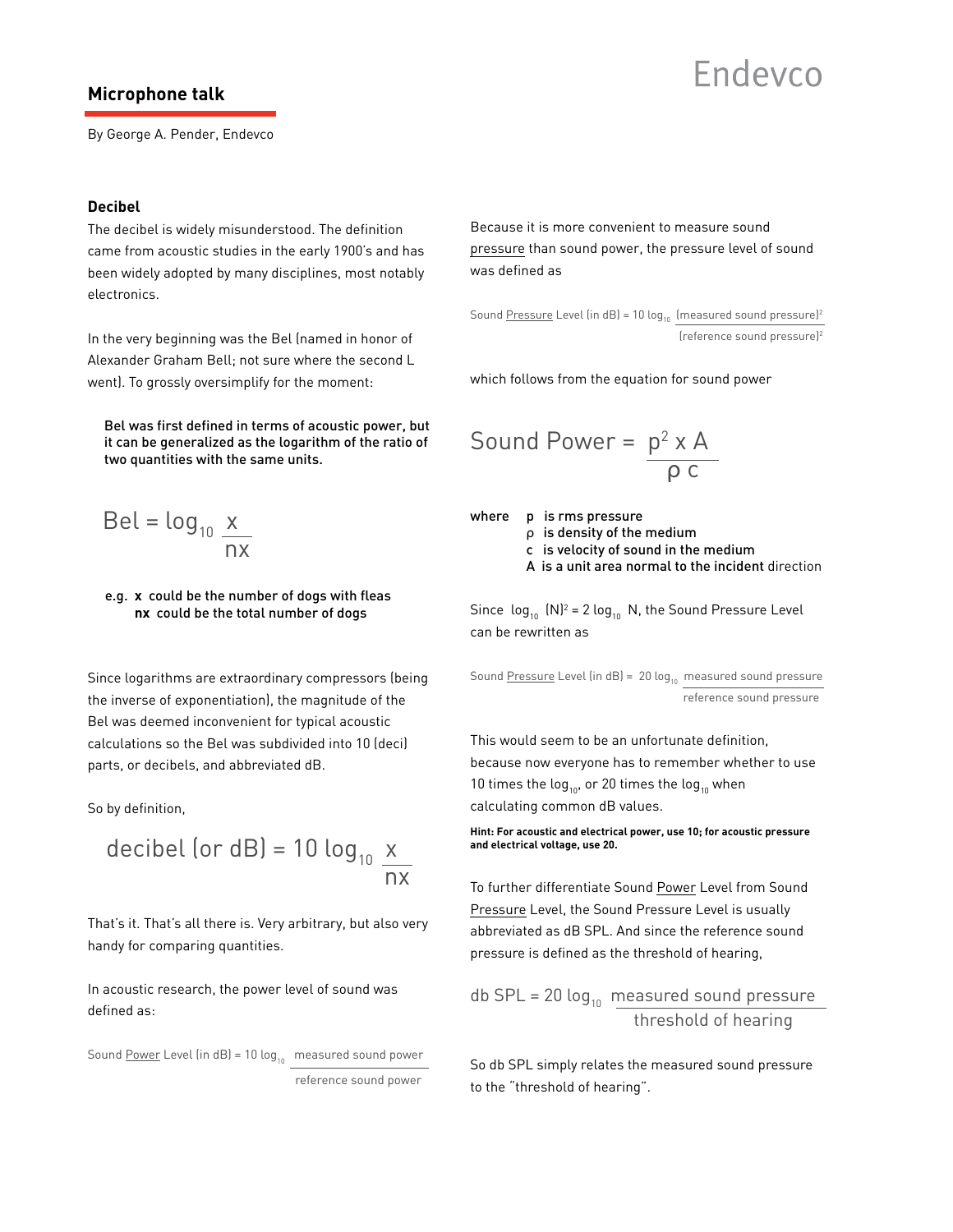### **Microphone talk**

## Endevro

By George A. Pender, Endevco

### **Decibel**

The decibel is widely misunderstood. The definition came from acoustic studies in the early 1900's and has been widely adopted by many disciplines, most notably electronics.

In the very beginning was the Bel (named in honor of Alexander Graham Bell; not sure where the second L went). To grossly oversimplify for the moment:

 Bel was first defined in terms of acoustic power, but it can be generalized as the logarithm of the ratio of two quantities with the same units.

$$
Bel = log_{10} \frac{x}{nx}
$$

### e.g. **x** could be the number of dogs with fleas **nx** could be the total number of dogs

Since logarithms are extraordinary compressors (being the inverse of exponentiation), the magnitude of the Bel was deemed inconvenient for typical acoustic calculations so the Bel was subdivided into 10 (deci) parts, or decibels, and abbreviated dB.

So by definition,

decibel (or dB) = 10 log<sub>10</sub> 
$$
\frac{x}{nx}
$$

That's it. That's all there is. Very arbitrary, but also very handy for comparing quantities.

In acoustic research, the power level of sound was defined as:

Sound Power Level (in dB) = 10  $log_{10}$  measured sound power reference sound power

Because it is more convenient to measure sound pressure than sound power, the pressure level of sound was defined as

Sound Pressure Level (in dB) = 10  $log_{10}$  (measured sound pressure)<sup>2</sup> (reference sound pressure)2

which follows from the equation for sound power

Sound Power = 
$$
\frac{p^2 \times A}{\rho c}
$$

where p is rms pressure

ρ is density of the medium

c is velocity of sound in the medium

A is a unit area normal to the incident direction

Since  $\log_{10}$   $\textsf{[N]}^2$  = 2  $\log_{10}$  N, the Sound Pressure Level can be rewritten as

Sound Pressure Level (in dB) = 20  $log_{10}$  measured sound pressure reference sound pressure

This would seem to be an unfortunate definition, because now everyone has to remember whether to use 10 times the log<sub>10</sub>, or 20 times the log<sub>10</sub> when calculating common dB values.

**Hint: For acoustic and electrical power, use 10; for acoustic pressure and electrical voltage, use 20.**

To further differentiate Sound Power Level from Sound Pressure Level, the Sound Pressure Level is usually abbreviated as dB SPL. And since the reference sound pressure is defined as the threshold of hearing,

db SPL = 20  $log_{10}$  measured sound pressure threshold of hearing

So db SPL simply relates the measured sound pressure to the "threshold of hearing".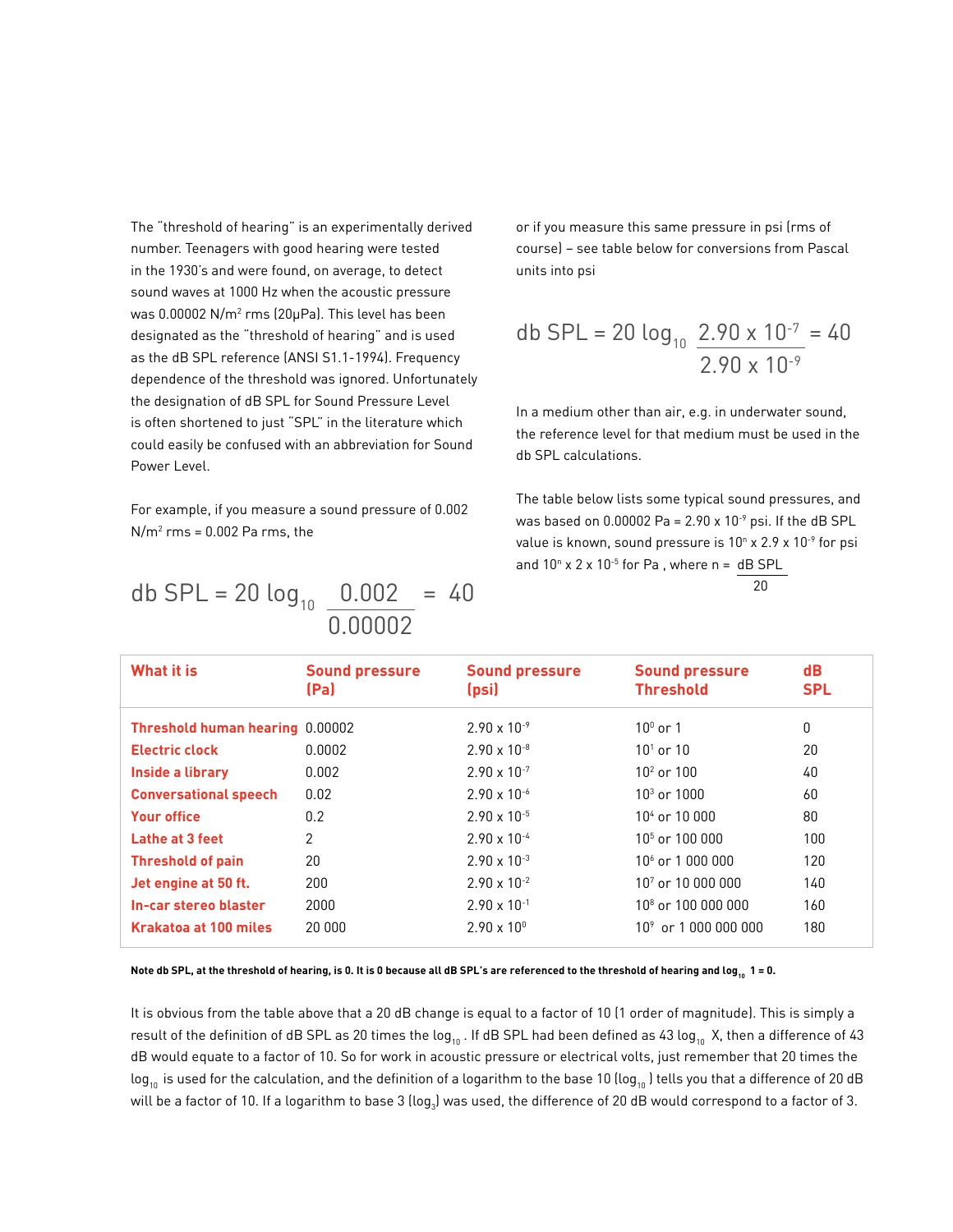The "threshold of hearing" is an experimentally derived number. Teenagers with good hearing were tested in the 1930's and were found, on average, to detect sound waves at 1000 Hz when the acoustic pressure was 0.00002 N/m $^{\rm 2}$  rms (20µPa). This level has been designated as the "threshold of hearing" and is used as the dB SPL reference (ANSI S1.1-1994). Frequency dependence of the threshold was ignored. Unfortunately the designation of dB SPL for Sound Pressure Level is often shortened to just "SPL" in the literature which could easily be confused with an abbreviation for Sound Power Level.

For example, if you measure a sound pressure of 0.002  $N/m<sup>2</sup>$  rms = 0.002 Pa rms, the

db SPL = 20 
$$
\log_{10} \frac{0.002}{0.00002}
$$
 = 40

or if you measure this same pressure in psi (rms of course) – see table below for conversions from Pascal units into psi

db SPL = 20 
$$
\log_{10} \frac{2.90 \times 10^{-7}}{2.90 \times 10^{-9}} = 40
$$

In a medium other than air, e.g. in underwater sound, the reference level for that medium must be used in the db SPL calculations.

The table below lists some typical sound pressures, and was based on  $0.00002$  Pa =  $2.90 \times 10^{-9}$  psi. If the dB SPL value is known, sound pressure is 10 $^{\circ}$  x 2.9 x 10<sup>-9</sup> for psi and  $10<sup>n</sup>$  x 2 x  $10<sup>-5</sup>$  for Pa , where n = dB SPL  $20$ 

| What it is                      | <b>Sound pressure</b><br>(Pa) | <b>Sound pressure</b><br>(psi) | <b>Sound pressure</b><br><b>Threshold</b> | $\mathbf{d}$<br><b>SPL</b> |
|---------------------------------|-------------------------------|--------------------------------|-------------------------------------------|----------------------------|
| Threshold human hearing 0.00002 |                               | $2.90 \times 10^{-9}$          | $10^{\circ}$ or 1                         | 0                          |
| <b>Electric clock</b>           | 0.0002                        | $2.90 \times 10^{-8}$          | $10^1$ or $10^-$                          | 20                         |
| Inside a library                | 0.002                         | $2.90 \times 10^{-7}$          | $102$ or $100$                            | 40                         |
| <b>Conversational speech</b>    | 0.02                          | $2.90 \times 10^{-6}$          | $103$ or $1000$                           | 60                         |
| <b>Your office</b>              | 0.2                           | $2.90 \times 10^{-5}$          | $104$ or $10,000$                         | 80                         |
| Lathe at 3 feet                 | $\overline{2}$                | $2.90 \times 10^{-4}$          | $105$ or $100\,000$                       | 100                        |
| <b>Threshold of pain</b>        | 20                            | $2.90 \times 10^{-3}$          | $106$ or 1 000 000                        | 120                        |
| Jet engine at 50 ft.            | 200                           | $2.90 \times 10^{-2}$          | $10^7$ or $10\,000\,000$                  | 140                        |
| In-car stereo blaster           | 2000                          | $2.90 \times 10^{-1}$          | $10^8$ or $100\ 000\ 000$                 | 160                        |
| <b>Krakatoa at 100 miles</b>    | 20,000                        | $2.90 \times 10^{0}$           | $10^9$ or 1,000,000,000                   | 180                        |

Note db SPL, at the threshold of hearing, is 0. It is 0 because all dB SPL's are referenced to the threshold of hearing and log<sub>10</sub> 1 = 0.

It is obvious from the table above that a 20 dB change is equal to a factor of 10 (1 order of magnitude). This is simply a result of the definition of dB SPL as 20 times the log<sub>10</sub>. If dB SPL had been defined as 43 log<sub>10</sub> X, then a difference of 43 dB would equate to a factor of 10. So for work in acoustic pressure or electrical volts, just remember that 20 times the  $log_{10}$  is used for the calculation, and the definition of a logarithm to the base 10 (log<sub>10</sub>) tells you that a difference of 20 dB will be a factor of 10. If a logarithm to base 3 (log $_{3}$ ) was used, the difference of 20 dB would correspond to a factor of 3.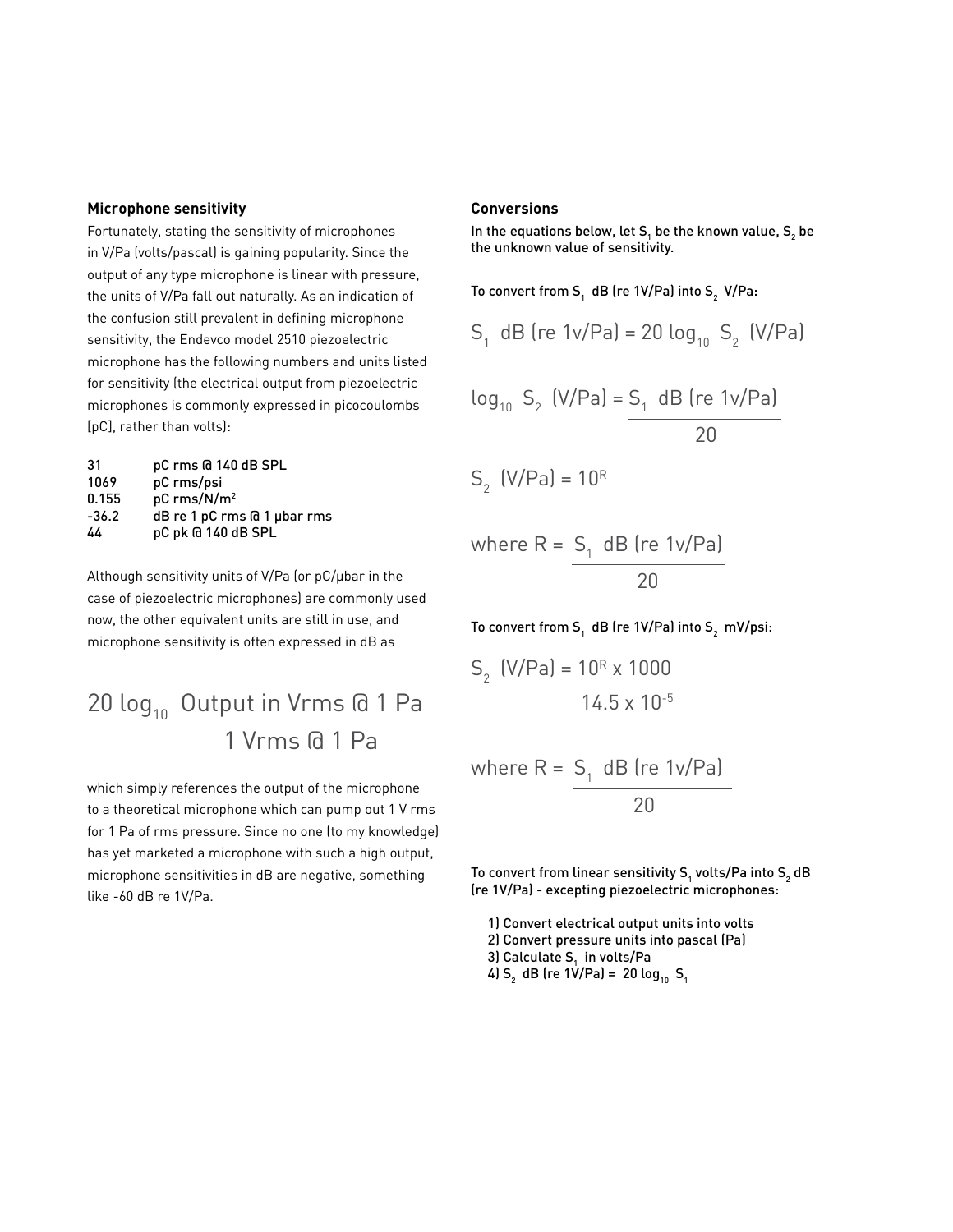### **Microphone sensitivity**

Fortunately, stating the sensitivity of microphones in V/Pa (volts/pascal) is gaining popularity. Since the output of any type microphone is linear with pressure, the units of V/Pa fall out naturally. As an indication of the confusion still prevalent in defining microphone sensitivity, the Endevco model 2510 piezoelectric microphone has the following numbers and units listed for sensitivity (the electrical output from piezoelectric microphones is commonly expressed in picocoulombs [pC], rather than volts):

| 31      | pC rms @ 140 dB SPL                  |
|---------|--------------------------------------|
| 1069    | pC rms/psi                           |
| 0.155   | pC rms/N/m <sup>2</sup>              |
| $-36.2$ | $dB$ re 1 pC rms $G$ 1 $\mu$ bar rms |
| 44      | pC pk @ 140 dB SPL                   |

Although sensitivity units of V/Pa (or pC/µbar in the case of piezoelectric microphones) are commonly used now, the other equivalent units are still in use, and microphone sensitivity is often expressed in dB as

### 20  $log_{10}$  Output in Vrms  $@1$  Pa 1 Vrms @ 1 Pa

which simply references the output of the microphone to a theoretical microphone which can pump out 1 V rms for 1 Pa of rms pressure. Since no one (to my knowledge) has yet marketed a microphone with such a high output, microphone sensitivities in dB are negative, something like -60 dB re 1V/Pa.

### **Conversions**

In the equations below, let S<sub>1</sub> be the known value, S<sub>2</sub> be the unknown value of sensitivity.

To convert from S<sub>1</sub> dB (re 1V/Pa) into S<sub>2</sub> V/Pa:

$$
S_1
$$
 dB (re 1v/Pa) = 20 log<sub>10</sub> S<sub>2</sub> (V/Pa)

$$
\log_{10} S_2 \text{ (V/Pa)} = S_1 \text{ dB (re 1v/Pa)}
$$
  
20  

$$
S_2 \text{ (V/Pa)} = 10^R
$$

where R = 
$$
\frac{S_1}{\sqrt{20}} = \frac{100 \text{ kg}
$$

To convert from S $_{_{1}}$  dB (re 1V/Pa) into S $_{_{2}}$  mV/psi:

$$
S_2 \text{ (V/Pa)} = \frac{10^R \times 1000}{14.5 \times 10^{-5}}
$$

where R = 
$$
\frac{S_1}{20} \frac{dB \text{ (re 1v/Pa)}}{20}
$$

To convert from linear sensitivity S<sub>1</sub> volts/Pa into S<sub>2</sub> dB (re 1V/Pa) - excepting piezoelectric microphones:

1) Convert electrical output units into volts 2) Convert pressure units into pascal (Pa) 3) Calculate S<sub>1</sub> in volts/Pa 4)  $S_2$  dB (re 1V/Pa) = 20 log<sub>10</sub>  $S_1$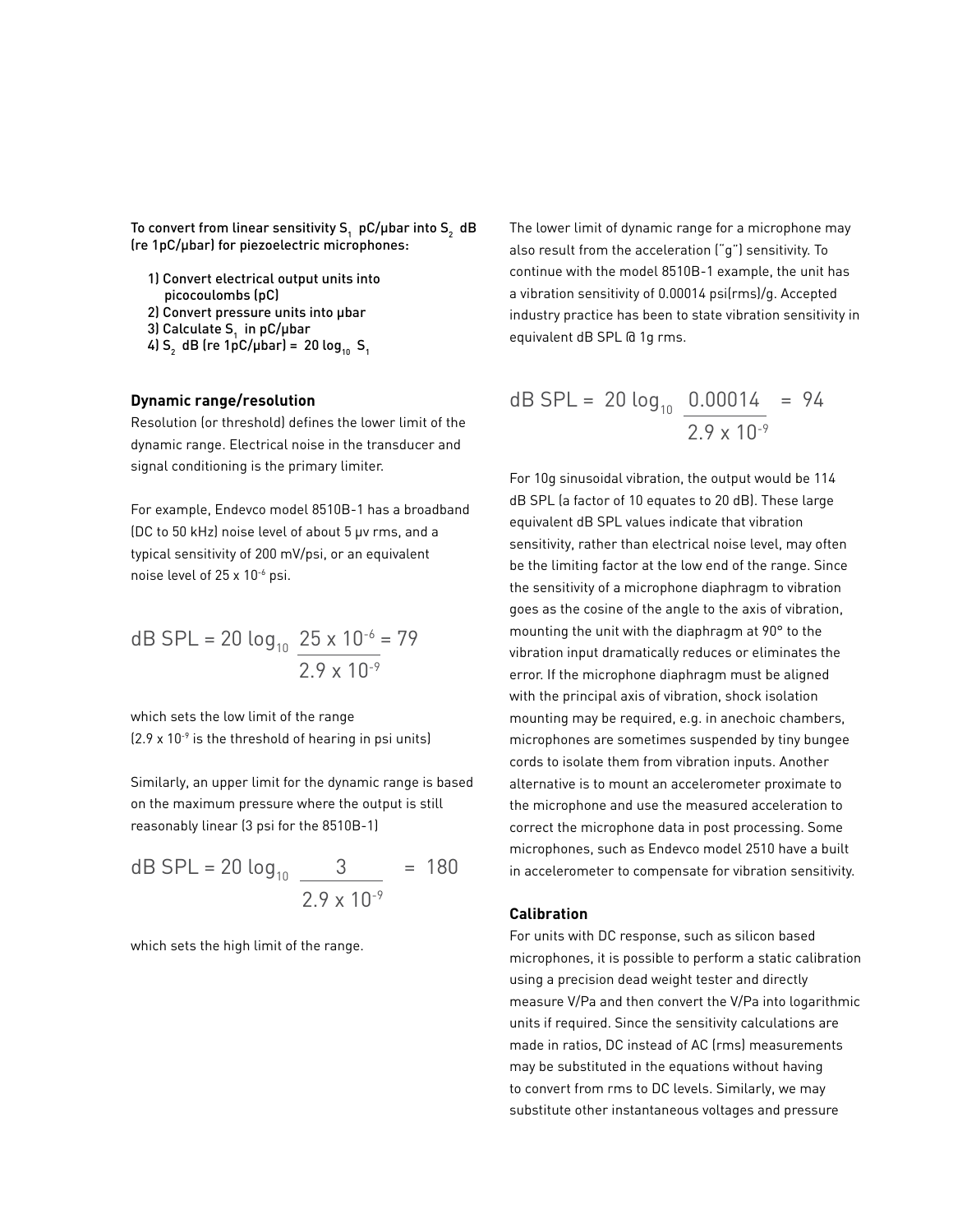To convert from linear sensitivity S<sub>1</sub> <code>pC/µbar</code> into S<sub>2</sub> <code>dB</code> (re 1pC/µbar) for piezoelectric microphones:

- 1) Convert electrical output units into picocoulombs (pC)
- 2) Convert pressure units into ubar
- 3) Calculate S<sub>1</sub> in pC/µbar
- 4) S<sub>2</sub> dB (re 1pC/µbar) = 20 log<sub>10</sub> S<sub>1</sub>

### **Dynamic range/resolution**

Resolution (or threshold) defines the lower limit of the dynamic range. Electrical noise in the transducer and signal conditioning is the primary limiter.

For example, Endevco model 8510B-1 has a broadband (DC to 50 kHz) noise level of about 5 µv rms, and a typical sensitivity of 200 mV/psi, or an equivalent noise level of 25 x 10-6 psi.

dB SPL = 20 
$$
\log_{10} \frac{25 \times 10^{-6}}{2.9 \times 10^{-9}}
$$

which sets the low limit of the range  $(2.9 \times 10^{-9})$  is the threshold of hearing in psi units)

Similarly, an upper limit for the dynamic range is based on the maximum pressure where the output is still reasonably linear (3 psi for the 8510B-1)

dB SPL = 20 log<sub>10</sub> 
$$
\frac{3}{2.9 \times 10^{-9}}
$$
 = 180

which sets the high limit of the range.

The lower limit of dynamic range for a microphone may also result from the acceleration ("g") sensitivity. To continue with the model 8510B-1 example, the unit has a vibration sensitivity of 0.00014 psi(rms)/g. Accepted industry practice has been to state vibration sensitivity in equivalent dB SPL @ 1g rms.

dB SPL = 20 log<sub>10</sub> 
$$
\frac{0.00014}{2.9 \times 10^{-9}}
$$
 = 94

For 10g sinusoidal vibration, the output would be 114 dB SPL (a factor of 10 equates to 20 dB). These large equivalent dB SPL values indicate that vibration sensitivity, rather than electrical noise level, may often be the limiting factor at the low end of the range. Since the sensitivity of a microphone diaphragm to vibration goes as the cosine of the angle to the axis of vibration, mounting the unit with the diaphragm at 90° to the vibration input dramatically reduces or eliminates the error. If the microphone diaphragm must be aligned with the principal axis of vibration, shock isolation mounting may be required, e.g. in anechoic chambers, microphones are sometimes suspended by tiny bungee cords to isolate them from vibration inputs. Another alternative is to mount an accelerometer proximate to the microphone and use the measured acceleration to correct the microphone data in post processing. Some microphones, such as Endevco model 2510 have a built in accelerometer to compensate for vibration sensitivity.

### **Calibration**

For units with DC response, such as silicon based microphones, it is possible to perform a static calibration using a precision dead weight tester and directly measure V/Pa and then convert the V/Pa into logarithmic units if required. Since the sensitivity calculations are made in ratios, DC instead of AC (rms) measurements may be substituted in the equations without having to convert from rms to DC levels. Similarly, we may substitute other instantaneous voltages and pressure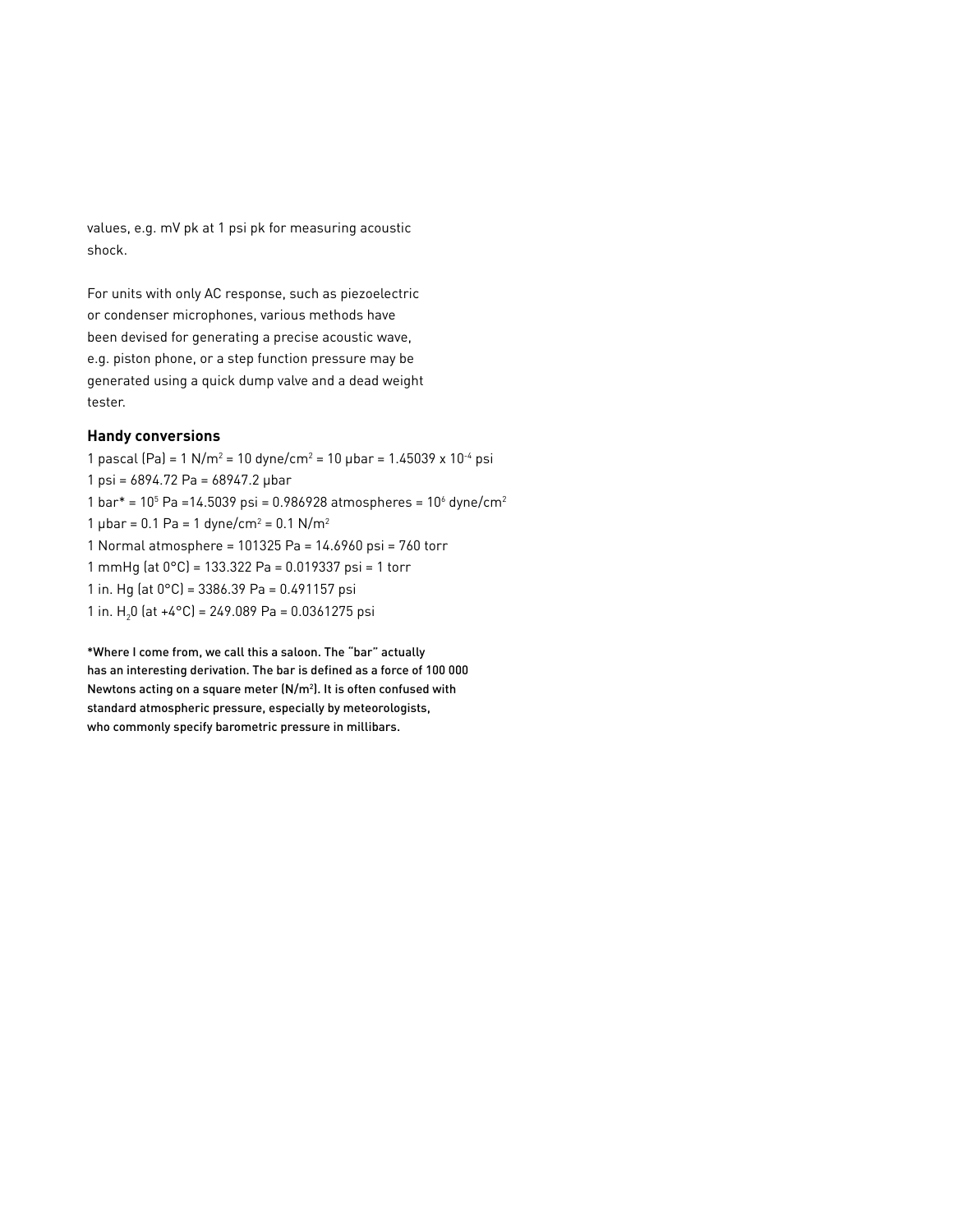values, e.g. mV pk at 1 psi pk for measuring acoustic shock.

For units with only AC response, such as piezoelectric or condenser microphones, various methods have been devised for generating a precise acoustic wave, e.g. piston phone, or a step function pressure may be generated using a quick dump valve and a dead weight tester.

### **Handy conversions**

1 pascal (Pa) = 1 N/m<sup>2</sup> = 10 dyne/cm<sup>2</sup> = 10 µbar = 1.45039 x 10<sup>-4</sup> psi 1 psi = 6894.72 Pa = 68947.2 µbar 1 bar\* =  $10^5$  Pa =  $14.5039$  psi = 0.986928 atmospheres =  $10^6$  dyne/cm<sup>2</sup> 1  $\mu$ bar = 0.1 Pa = 1 dyne/cm<sup>2</sup> = 0.1 N/m<sup>2</sup> 1 Normal atmosphere = 101325 Pa = 14.6960 psi = 760 torr 1 mmHg (at 0°C) = 133.322 Pa = 0.019337 psi = 1 torr 1 in. Hg (at 0°C) = 3386.39 Pa = 0.491157 psi 1 in. H<sub>2</sub>0 (at +4°C) = 249.089 Pa = 0.0361275 psi

\*Where I come from, we call this a saloon. The "bar" actually has an interesting derivation. The bar is defined as a force of 100 000 Newtons acting on a square meter ( $N/m<sup>2</sup>$ ). It is often confused with standard atmospheric pressure, especially by meteorologists, who commonly specify barometric pressure in millibars.